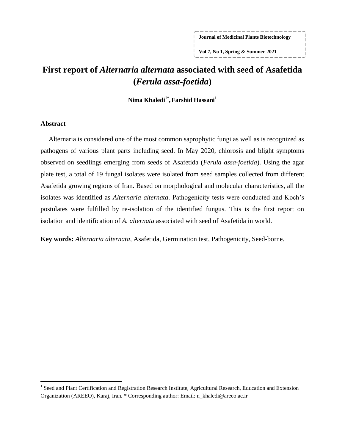**Journal of Medicinal Plants Biotechnology**

**Vol 7, No 1, Spring & Summer 2021**

# **First report of** *Alternaria alternata* **associated with seed of Asafetida (***Ferula assa-foetida***)**

**Nima Khaledi1\* ,Farshid Hassani<sup>1</sup>**

### **Abstract**

 $\overline{a}$ 

Alternaria is considered one of the most common saprophytic fungi as well as is recognized as pathogens of various plant parts including seed. In May 2020, chlorosis and blight symptoms observed on seedlings emerging from seeds of Asafetida (*Ferula assa-foetida*). Using the agar plate test, a total of 19 fungal isolates were isolated from seed samples collected from different Asafetida growing regions of Iran. Based on morphological and molecular characteristics, all the isolates was identified as *Alternaria alternata*. Pathogenicity tests were conducted and Koch's postulates were fulfilled by re-isolation of the identified fungus. This is the first report on isolation and identification of *A. alternata* associated with seed of Asafetida in world.

**Key words:** *Alternaria alternata*, Asafetida, Germination test, Pathogenicity, Seed-borne.

<sup>&</sup>lt;sup>1</sup> Seed and Plant Certification and Registration Research Institute, Agricultural Research, Education and Extension Organization (AREEO), Karaj, Iran. \* Corresponding author: Email: n\_khaledi@areeo.ac.ir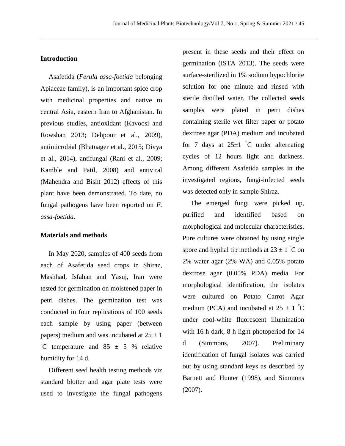### **Introduction**

Asafetida (*Ferula assa-foetida* belonging Apiaceae family), is an important spice crop with medicinal properties and native to central Asia, eastern Iran to Afghanistan. In previous studies, antioxidant (Kavoosi and Rowshan [2013;](#page-5-0) Dehpour et al., [2009\)](#page-5-1), antimicrobial (Bhatnager et al., [2015;](#page-5-2) Divya et al., [2014\)](#page-5-3), antifungal (Rani et al., [2009;](#page-5-4) Kamble and Patil, [2008\)](#page-5-5) and antiviral (Mahendra and Bisht [2012\)](#page-5-6) effects of this plant have been demonstrated. To date, no fungal pathogens have been reported on *F. assa-foetida*.

#### **Materials and methods**

In May 2020, samples of 400 seeds from each of Asafetida seed crops in Shiraz, Mashhad, Isfahan and Yasuj, Iran were tested for germination on moistened paper in petri dishes. The germination test was conducted in four replications of 100 seeds each sample by using paper (between papers) medium and was incubated at  $25 \pm 1$  $^{\circ}$ C temperature and 85  $\pm$  5 % relative humidity for 14 d.

Different seed health testing methods viz standard blotter and agar plate tests were used to investigate the fungal pathogens present in these seeds and their effect on germination (ISTA [2013\)](#page-5-7). The seeds were surface-sterilized in 1% sodium hypochlorite solution for one minute and rinsed with sterile distilled water. The collected seeds samples were plated in petri dishes containing sterile wet filter paper or potato dextrose agar (PDA) medium and incubated for 7 days at  $25\pm1$  °C under alternating cycles of 12 hours light and darkness. Among different Asafetida samples in the investigated regions, fungi-infected seeds was detected only in sample Shiraz.

The emerged fungi were picked up, purified and identified based on morphological and molecular characteristics. Pure cultures were obtained by using single spore and hyphal tip methods at  $23 \pm 1$  °C on 2% water agar (2% WA) and 0.05% potato dextrose agar (0.05% PDA) media. For morphological identification, the isolates were cultured on Potato Carrot Agar medium (PCA) and incubated at  $25 \pm 1^{\circ}$ C under cool-white fluorescent illumination with 16 h dark, 8 h light photoperiod for 14 d (Simmons, [2007\)](#page-5-8). Preliminary identification of fungal isolates was carried out by using standard keys as described by Barnett and Hunter [\(1998\)](#page-5-9), and Simmons [\(2007\)](#page-5-8).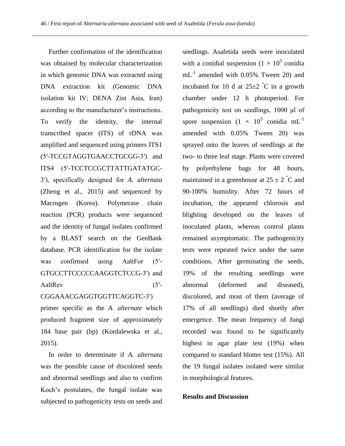Further confirmation of the identification was obtained by molecular characterization in which genomic DNA was extracted using DNA extraction kit (Genomic DNA isolation kit IV; DENA Zist Asia, Iran) according to the manufacturer's instructions. To verify the identity, the internal transcribed spacer (ITS) of rDNA was amplified and sequenced using primers ITS1 (5′-TCCGTAGGTGAACCTGCGG-3′) and ITS4 (5′-TCCTCCGCTTATTGATATGC-3′), specifically designed for *A. alternata*  (Zheng et al., [2015\)](#page-5-10) and sequenced by Macrogen (Korea). Polymerase chain reaction (PCR) products were sequenced and the identity of fungal isolates confirmed by a BLAST search on the GenBank database. PCR identification for the isolate was confirmed using AaltFor (5'-GTGCCTTCCCCCAAGGTCTCCG-3′) and AaltRev (5'-

CGGAAACGAGGTGGTTCAGGTC-3′) primer specific as the *A. alternate* which produced fragment size of approximately

184 base pair (bp) (Kordalewska et al., [2015\)](#page-5-11).

In order to determinate if *A. alternata* was the possible cause of discolored seeds and abnormal seedlings and also to confirm Koch's postulates, the fungal isolate was subjected to pathogenicity tests on seeds and seedlings. Asafetida seeds were inoculated with a conidial suspension  $(1 \times 10^5)$  conidia  $mL^{-1}$  amended with 0.05% Tween 20) and incubated for 10 d at  $25\pm2$  °C in a growth chamber under 12 h photoperiod. For pathogenicity test on seedlings, 1000 μl of spore suspension  $(1 \times 10^5 \text{ conidia} \text{ mL}^{-1})$ amended with 0.05% Tween 20) was sprayed onto the leaves of seedlings at the two- to three leaf stage. Plants were covered by polyethylene bags for 48 hours, maintained in a greenhouse at  $25 \pm 2^\circ \text{C}$  and 90-100% humidity. After 72 hours of incubation, the appeared chlorosis and blighting developed on the leaves of inoculated plants, whereas control plants remained asymptomatic. The pathogenicity tests were repeated twice under the same conditions. After germinating the seeds, 19% of the resulting seedlings were abnormal (deformed and diseased), discolored, and most of them (average of 17% of all seedlings) died shortly after emergence. The mean frequency of fungi recorded was found to be significantly highest in agar plate test (19%) when compared to standard blotter test (15%). All the 19 fungal isolates isolated were similar in morphological features.

## **Results and Discussion**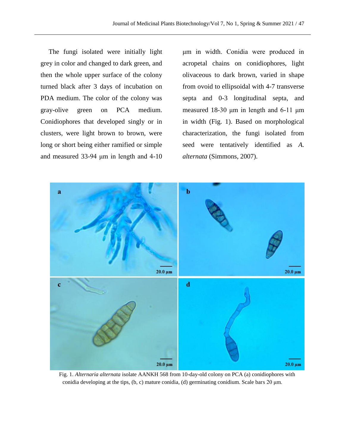The fungi isolated were initially light grey in color and changed to dark green, and then the whole upper surface of the colony turned black after 3 days of incubation on PDA medium. The color of the colony was gray-olive green on PCA medium. Conidiophores that developed singly or in clusters, were light brown to brown, were long or short being either ramified or simple and measured 33-94 μm in length and 4-10

μm in width. Conidia were produced in acropetal chains on conidiophores, light olivaceous to dark brown, varied in shape from ovoid to ellipsoidal with 4-7 transverse septa and 0-3 longitudinal septa, and measured 18-30 μm in length and 6-11 μm in width (Fig. 1). Based on morphological characterization, the fungi isolated from seed were tentatively identified as *A. alternata* (Simmons, [2007\)](#page-5-8).



Fig. 1. *Alternaria alternata* isolate AANKH 568 from 10-day-old colony on PCA (a) conidiophores with conidia developing at the tips, (b, c) mature conidia, (d) germinating conidium. Scale bars 20 μm.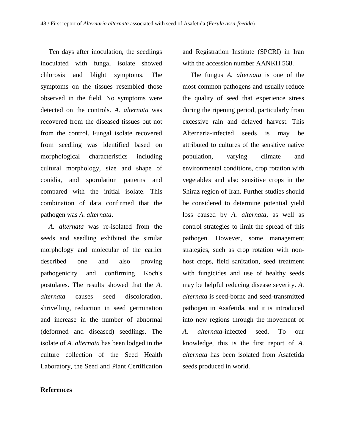Ten days after inoculation, the seedlings inoculated with fungal isolate showed chlorosis and blight symptoms. The symptoms on the tissues resembled those observed in the field. No symptoms were detected on the controls. *A. alternata* was recovered from the diseased tissues but not from the control. Fungal isolate recovered from seedling was identified based on morphological characteristics including cultural morphology, size and shape of conidia, and sporulation patterns and compared with the initial isolate. This combination of data confirmed that the pathogen was *A. alternata*.

*A. alternata* was re-isolated from the seeds and seedling exhibited the similar morphology and molecular of the earlier described one and also proving pathogenicity and confirming Koch's postulates. The results showed that the *A. alternata* causes seed discoloration, shrivelling, reduction in seed germination and increase in the number of abnormal (deformed and diseased) seedlings. The isolate of *A. alternata* has been lodged in the culture collection of the Seed Health Laboratory, the Seed and Plant Certification

**References**

and Registration Institute (SPCRI) in Iran with the accession number AANKH 568.

The fungus *A. alternata* is one of the most common pathogens and usually reduce the quality of seed that experience stress during the ripening period, particularly from excessive rain and delayed harvest. This Alternaria-infected seeds is may be attributed to cultures of the sensitive native population, varying climate and environmental conditions, crop rotation with vegetables and also sensitive crops in the Shiraz region of Iran. Further studies should be considered to determine potential yield loss caused by *A. alternata*, as well as control strategies to limit the spread of this pathogen. However, some management strategies, such as crop rotation with nonhost crops, field sanitation, seed treatment with fungicides and use of healthy seeds may be helpful reducing disease severity. *A. alternata* is seed-borne and seed-transmitted pathogen in Asafetida, and it is introduced into new regions through the movement of *A. alternata*-infected seed. To our knowledge, this is the first report of *A. alternata* has been isolated from Asafetida seeds produced in world.